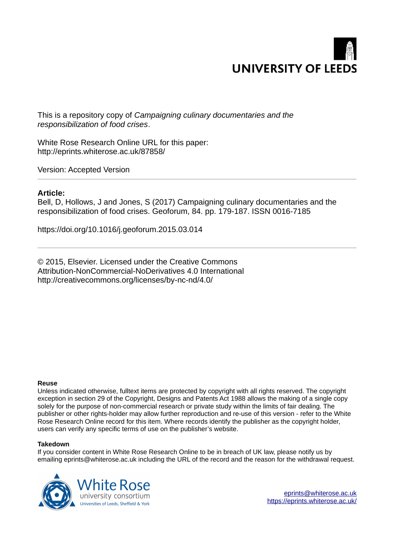

This is a repository copy of *Campaigning culinary documentaries and the responsibilization of food crises*.

White Rose Research Online URL for this paper: http://eprints.whiterose.ac.uk/87858/

Version: Accepted Version

### **Article:**

Bell, D, Hollows, J and Jones, S (2017) Campaigning culinary documentaries and the responsibilization of food crises. Geoforum, 84. pp. 179-187. ISSN 0016-7185

https://doi.org/10.1016/j.geoforum.2015.03.014

© 2015, Elsevier. Licensed under the Creative Commons Attribution-NonCommercial-NoDerivatives 4.0 International http://creativecommons.org/licenses/by-nc-nd/4.0/

#### **Reuse**

Unless indicated otherwise, fulltext items are protected by copyright with all rights reserved. The copyright exception in section 29 of the Copyright, Designs and Patents Act 1988 allows the making of a single copy solely for the purpose of non-commercial research or private study within the limits of fair dealing. The publisher or other rights-holder may allow further reproduction and re-use of this version - refer to the White Rose Research Online record for this item. Where records identify the publisher as the copyright holder, users can verify any specific terms of use on the publisher's website.

#### **Takedown**

If you consider content in White Rose Research Online to be in breach of UK law, please notify us by emailing eprints@whiterose.ac.uk including the URL of the record and the reason for the withdrawal request.

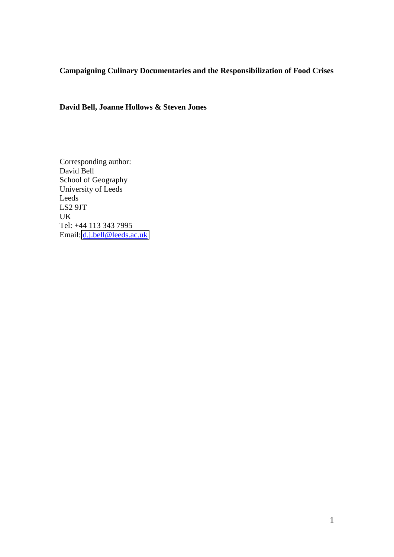# **Campaigning Culinary Documentaries and the Responsibilization of Food Crises**

# **David Bell, Joanne Hollows & Steven Jones**

Corresponding author: David Bell School of Geography University of Leeds Leeds LS2 9JT UK Tel: +44 113 343 7995 Email: [d.j.bell@leeds.ac.uk](mailto:d.j.bell@leeds.ac.uk)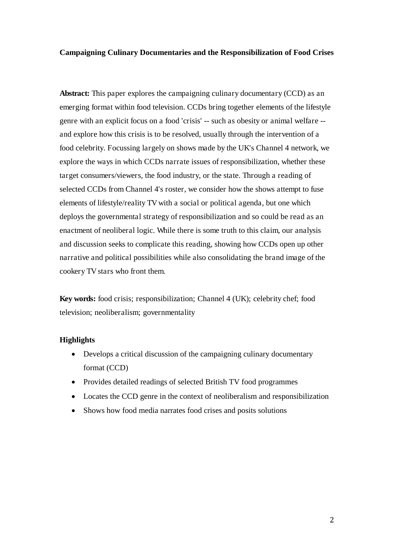### **Campaigning Culinary Documentaries and the Responsibilization of Food Crises**

Abstract: This paper explores the campaigning culinary documentary (CCD) as an emerging format within food television. CCDs bring together elements of the lifestyle genre with an explicit focus on a food 'crisis' -- such as obesity or animal welfare - and explore how this crisis is to be resolved, usually through the intervention of a food celebrity. Focussing largely on shows made by the UK's Channel 4 network, we explore the ways in which CCDs narrate issues of responsibilization, whether these target consumers/viewers, the food industry, or the state. Through a reading of selected CCDs from Channel 4's roster, we consider how the shows attempt to fuse elements of lifestyle/reality TV with a social or political agenda, but one which deploys the governmental strategy of responsibilization and so could be read as an enactment of neoliberal logic. While there is some truth to this claim, our analysis and discussion seeks to complicate this reading, showing how CCDs open up other narrative and political possibilities while also consolidating the brand image of the cookery TV stars who front them.

**Key words:** food crisis; responsibilization; Channel 4 (UK); celebrity chef; food television; neoliberalism; governmentality

### **Highlights**

- Develops a critical discussion of the campaigning culinary documentary format (CCD)
- Provides detailed readings of selected British TV food programmes
- Locates the CCD genre in the context of neoliberalism and responsibilization
- Shows how food media narrates food crises and posits solutions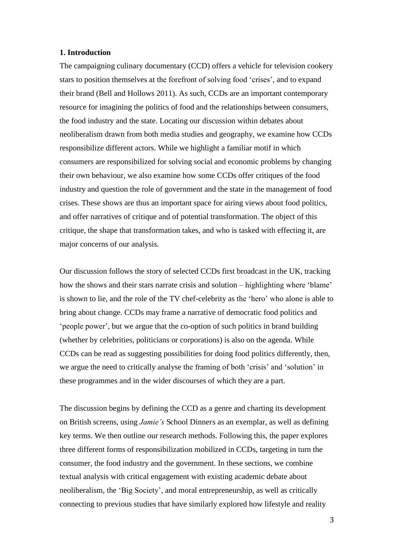### **1. Introduction**

The campaigning culinary documentary (CCD) offers a vehicle for television cookery stars to position themselves at the forefront of solving food 'crises', and to expand their brand (Bell and Hollows 2011). As such, CCDs are an important contemporary resource for imagining the politics of food and the relationships between consumers, the food industry and the state. Locating our discussion within debates about neoliberalism drawn from both media studies and geography, we examine how CCDs responsibilize different actors. While we highlight a familiar motif in which consumers are responsibilized for solving social and economic problems by changing their own behaviour, we also examine how some CCDs offer critiques of the food industry and question the role of government and the state in the management of food crises. These shows are thus an important space for airing views about food politics, and offer narratives of critique and of potential transformation. The object of this critique, the shape that transformation takes, and who is tasked with effecting it, are major concerns of our analysis.

Our discussion follows the story of selected CCDs first broadcast in the UK, tracking how the shows and their stars narrate crisis and solution – highlighting where 'blame' is shown to lie, and the role of the TV chef-celebrity as the 'hero' who alone is able to bring about change. CCDs may frame a narrative of democratic food politics and 'people power', but we argue that the co-option of such politics in brand building (whether by celebrities, politicians or corporations) is also on the agenda. While CCDs can be read as suggesting possibilities for doing food politics differently, then, we argue the need to critically analyse the framing of both 'crisis' and 'solution' in these programmes and in the wider discourses of which they are a part.

The discussion begins by defining the CCD as a genre and charting its development on British screens, using *Jamie's* School Dinners as an exemplar, as well as defining key terms. We then outline our research methods. Following this, the paper explores three different forms of responsibilization mobilized in CCDs, targeting in turn the consumer, the food industry and the government. In these sections, we combine textual analysis with critical engagement with existing academic debate about neoliberalism, the 'Big Society', and moral entrepreneurship, as well as critically connecting to previous studies that have similarly explored how lifestyle and reality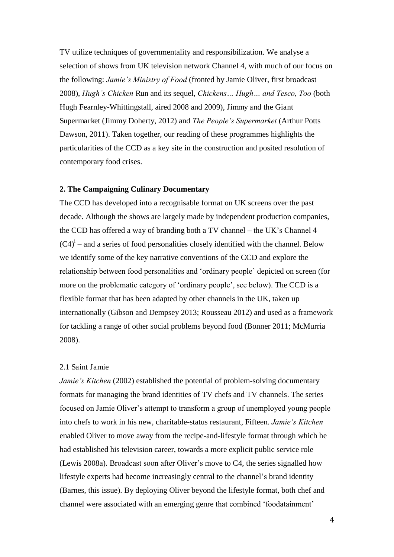TV utilize techniques of governmentality and responsibilization. We analyse a selection of shows from UK television network Channel 4, with much of our focus on the following: *Jamie's Ministry of Food* (fronted by Jamie Oliver, first broadcast 2008), *Hugh's Chicken* Run and its sequel, *Chickens… Hugh… and Tesco, Too* (both Hugh Fearnley-Whittingstall, aired 2008 and 2009), Jimmy and the Giant Supermarket (Jimmy Doherty, 2012) and *The People's Supermarket* (Arthur Potts Dawson, 2011). Taken together, our reading of these programmes highlights the particularities of the CCD as a key site in the construction and posited resolution of contemporary food crises.

### **2. The Campaigning Culinary Documentary**

The CCD has developed into a recognisable format on UK screens over the past decade. Although the shows are largely made by independent production companies, the CCD has offered a way of branding both a TV channel – the UK's Channel 4  $(C4)^i$  – and a series of food personalities closely identified with the channel. Below we identify some of the key narrative conventions of the CCD and explore the relationship between food personalities and 'ordinary people' depicted on screen (for more on the problematic category of 'ordinary people', see below). The CCD is a flexible format that has been adapted by other channels in the UK, taken up internationally (Gibson and Dempsey 2013; Rousseau 2012) and used as a framework for tackling a range of other social problems beyond food (Bonner 2011; McMurria 2008).

### 2.1 Saint Jamie

*Jamie's Kitchen* (2002) established the potential of problem-solving documentary formats for managing the brand identities of TV chefs and TV channels. The series focused on Jamie Oliver's attempt to transform a group of unemployed young people into chefs to work in his new, charitable-status restaurant, Fifteen. *Jamie's Kitchen* enabled Oliver to move away from the recipe-and-lifestyle format through which he had established his television career, towards a more explicit public service role (Lewis 2008a). Broadcast soon after Oliver's move to C4, the series signalled how lifestyle experts had become increasingly central to the channel's brand identity (Barnes, this issue). By deploying Oliver beyond the lifestyle format, both chef and channel were associated with an emerging genre that combined 'foodatainment'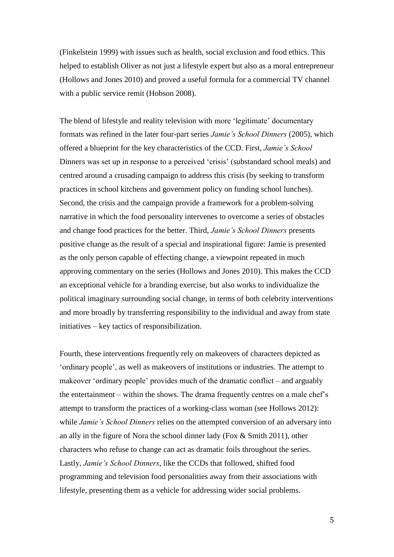(Finkelstein 1999) with issues such as health, social exclusion and food ethics. This helped to establish Oliver as not just a lifestyle expert but also as a moral entrepreneur (Hollows and Jones 2010) and proved a useful formula for a commercial TV channel with a public service remit (Hobson 2008).

The blend of lifestyle and reality television with more 'legitimate' documentary formats was refined in the later four-part series *Jamie's School Dinners* (2005), which offered a blueprint for the key characteristics of the CCD. First, *Jamie's School*  Dinners was set up in response to a perceived 'crisis' (substandard school meals) and centred around a crusading campaign to address this crisis (by seeking to transform practices in school kitchens and government policy on funding school lunches). Second, the crisis and the campaign provide a framework for a problem-solving narrative in which the food personality intervenes to overcome a series of obstacles and change food practices for the better. Third, *Jamie's School Dinners* presents positive change as the result of a special and inspirational figure: Jamie is presented as the only person capable of effecting change, a viewpoint repeated in much approving commentary on the series (Hollows and Jones 2010). This makes the CCD an exceptional vehicle for a branding exercise, but also works to individualize the political imaginary surrounding social change, in terms of both celebrity interventions and more broadly by transferring responsibility to the individual and away from state initiatives – key tactics of responsibilization.

Fourth, these interventions frequently rely on makeovers of characters depicted as 'ordinary people', as well as makeovers of institutions or industries. The attempt to makeover 'ordinary people' provides much of the dramatic conflict – and arguably the entertainment – within the shows. The drama frequently centres on a male chef's attempt to transform the practices of a working-class woman (see Hollows 2012): while *Jamie's School Dinners* relies on the attempted conversion of an adversary into an ally in the figure of Nora the school dinner lady (Fox & Smith 2011), other characters who refuse to change can act as dramatic foils throughout the series. Lastly, *Jamie's School Dinners*, like the CCDs that followed, shifted food programming and television food personalities away from their associations with lifestyle, presenting them as a vehicle for addressing wider social problems.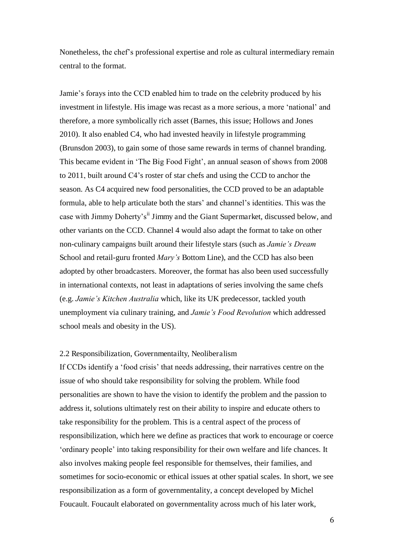Nonetheless, the chef's professional expertise and role as cultural intermediary remain central to the format.

Jamie's forays into the CCD enabled him to trade on the celebrity produced by his investment in lifestyle. His image was recast as a more serious, a more 'national' and therefore, a more symbolically rich asset (Barnes, this issue; Hollows and Jones 2010). It also enabled C4, who had invested heavily in lifestyle programming (Brunsdon 2003), to gain some of those same rewards in terms of channel branding. This became evident in 'The Big Food Fight', an annual season of shows from 2008 to 2011, built around C4's roster of star chefs and using the CCD to anchor the season. As C4 acquired new food personalities, the CCD proved to be an adaptable formula, able to help articulate both the stars' and channel's identities. This was the case with Jimmy Doherty's<sup>ii</sup> Jimmy and the Giant Supermarket, discussed below, and other variants on the CCD. Channel 4 would also adapt the format to take on other non-culinary campaigns built around their lifestyle stars (such as *Jamie's Dream*  School and retail-guru fronted *Mary's* Bottom Line), and the CCD has also been adopted by other broadcasters. Moreover, the format has also been used successfully in international contexts, not least in adaptations of series involving the same chefs (e.g. *Jamie's Kitchen Australia* which, like its UK predecessor, tackled youth unemployment via culinary training, and *Jamie's Food Revolution* which addressed school meals and obesity in the US).

#### 2.2 Responsibilization, Governmentailty, Neoliberalism

If CCDs identify a 'food crisis' that needs addressing, their narratives centre on the issue of who should take responsibility for solving the problem. While food personalities are shown to have the vision to identify the problem and the passion to address it, solutions ultimately rest on their ability to inspire and educate others to take responsibility for the problem. This is a central aspect of the process of responsibilization, which here we define as practices that work to encourage or coerce 'ordinary people' into taking responsibility for their own welfare and life chances. It also involves making people feel responsible for themselves, their families, and sometimes for socio-economic or ethical issues at other spatial scales. In short, we see responsibilization as a form of governmentality, a concept developed by Michel Foucault. Foucault elaborated on governmentality across much of his later work,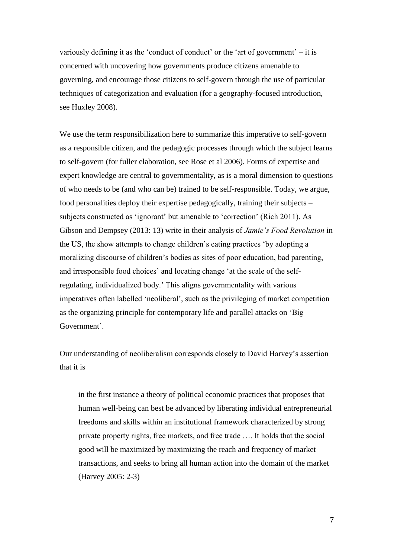variously defining it as the 'conduct of conduct' or the 'art of government' – it is concerned with uncovering how governments produce citizens amenable to governing, and encourage those citizens to self-govern through the use of particular techniques of categorization and evaluation (for a geography-focused introduction, see Huxley 2008).

We use the term responsibilization here to summarize this imperative to self-govern as a responsible citizen, and the pedagogic processes through which the subject learns to self-govern (for fuller elaboration, see Rose et al 2006). Forms of expertise and expert knowledge are central to governmentality, as is a moral dimension to questions of who needs to be (and who can be) trained to be self-responsible. Today, we argue, food personalities deploy their expertise pedagogically, training their subjects – subjects constructed as 'ignorant' but amenable to 'correction' (Rich 2011). As Gibson and Dempsey (2013: 13) write in their analysis of *Jamie's Food Revolution* in the US, the show attempts to change children's eating practices 'by adopting a moralizing discourse of children's bodies as sites of poor education, bad parenting, and irresponsible food choices' and locating change 'at the scale of the selfregulating, individualized body.' This aligns governmentality with various imperatives often labelled 'neoliberal', such as the privileging of market competition as the organizing principle for contemporary life and parallel attacks on 'Big Government'.

Our understanding of neoliberalism corresponds closely to David Harvey's assertion that it is

in the first instance a theory of political economic practices that proposes that human well-being can best be advanced by liberating individual entrepreneurial freedoms and skills within an institutional framework characterized by strong private property rights, free markets, and free trade …. It holds that the social good will be maximized by maximizing the reach and frequency of market transactions, and seeks to bring all human action into the domain of the market (Harvey 2005: 2-3)

7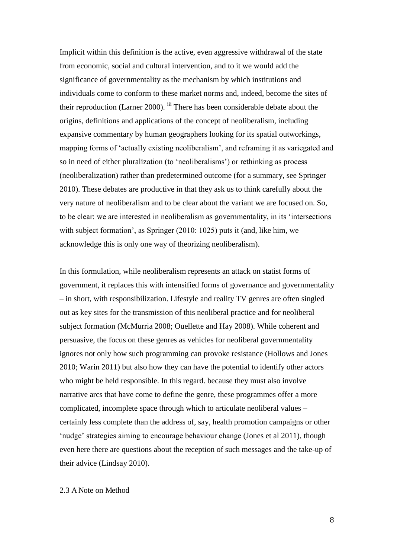Implicit within this definition is the active, even aggressive withdrawal of the state from economic, social and cultural intervention, and to it we would add the significance of governmentality as the mechanism by which institutions and individuals come to conform to these market norms and, indeed, become the sites of their reproduction (Larner 2000). <sup>iii</sup> There has been considerable debate about the origins, definitions and applications of the concept of neoliberalism, including expansive commentary by human geographers looking for its spatial outworkings, mapping forms of 'actually existing neoliberalism', and reframing it as variegated and so in need of either pluralization (to 'neoliberalisms') or rethinking as process (neoliberalization) rather than predetermined outcome (for a summary, see Springer 2010). These debates are productive in that they ask us to think carefully about the very nature of neoliberalism and to be clear about the variant we are focused on. So, to be clear: we are interested in neoliberalism as governmentality, in its 'intersections with subject formation', as Springer (2010: 1025) puts it (and, like him, we acknowledge this is only one way of theorizing neoliberalism).

In this formulation, while neoliberalism represents an attack on statist forms of government, it replaces this with intensified forms of governance and governmentality – in short, with responsibilization. Lifestyle and reality TV genres are often singled out as key sites for the transmission of this neoliberal practice and for neoliberal subject formation (McMurria 2008; Ouellette and Hay 2008). While coherent and persuasive, the focus on these genres as vehicles for neoliberal governmentality ignores not only how such programming can provoke resistance (Hollows and Jones 2010; Warin 2011) but also how they can have the potential to identify other actors who might be held responsible. In this regard. because they must also involve narrative arcs that have come to define the genre, these programmes offer a more complicated, incomplete space through which to articulate neoliberal values – certainly less complete than the address of, say, health promotion campaigns or other 'nudge' strategies aiming to encourage behaviour change (Jones et al 2011), though even here there are questions about the reception of such messages and the take-up of their advice (Lindsay 2010).

# 2.3 A Note on Method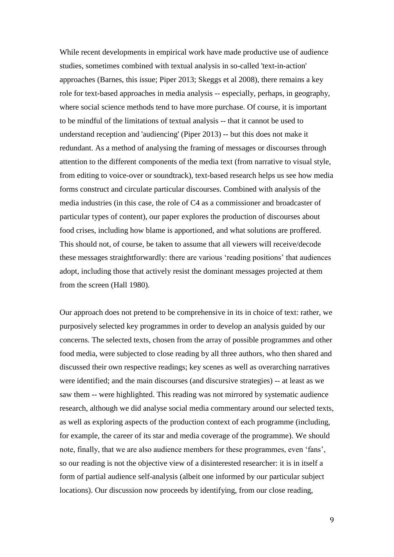While recent developments in empirical work have made productive use of audience studies, sometimes combined with textual analysis in so-called 'text-in-action' approaches (Barnes, this issue; Piper 2013; Skeggs et al 2008), there remains a key role for text-based approaches in media analysis -- especially, perhaps, in geography, where social science methods tend to have more purchase. Of course, it is important to be mindful of the limitations of textual analysis -- that it cannot be used to understand reception and 'audiencing' (Piper 2013) -- but this does not make it redundant. As a method of analysing the framing of messages or discourses through attention to the different components of the media text (from narrative to visual style, from editing to voice-over or soundtrack), text-based research helps us see how media forms construct and circulate particular discourses. Combined with analysis of the media industries (in this case, the role of C4 as a commissioner and broadcaster of particular types of content), our paper explores the production of discourses about food crises, including how blame is apportioned, and what solutions are proffered. This should not, of course, be taken to assume that all viewers will receive/decode these messages straightforwardly: there are various 'reading positions' that audiences adopt, including those that actively resist the dominant messages projected at them from the screen (Hall 1980).

Our approach does not pretend to be comprehensive in its in choice of text: rather, we purposively selected key programmes in order to develop an analysis guided by our concerns. The selected texts, chosen from the array of possible programmes and other food media, were subjected to close reading by all three authors, who then shared and discussed their own respective readings; key scenes as well as overarching narratives were identified; and the main discourses (and discursive strategies) -- at least as we saw them -- were highlighted. This reading was not mirrored by systematic audience research, although we did analyse social media commentary around our selected texts, as well as exploring aspects of the production context of each programme (including, for example, the career of its star and media coverage of the programme). We should note, finally, that we are also audience members for these programmes, even 'fans', so our reading is not the objective view of a disinterested researcher: it is in itself a form of partial audience self-analysis (albeit one informed by our particular subject locations). Our discussion now proceeds by identifying, from our close reading,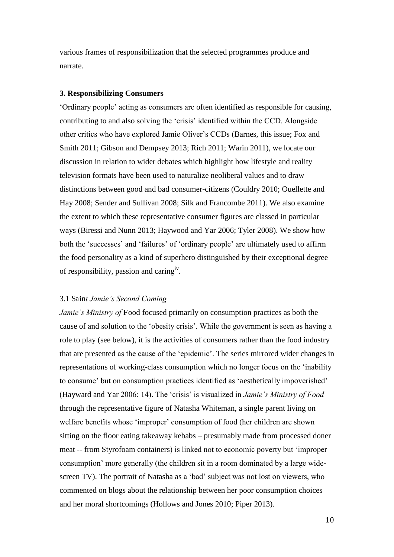various frames of responsibilization that the selected programmes produce and narrate.

### **3. Responsibilizing Consumers**

'Ordinary people' acting as consumers are often identified as responsible for causing, contributing to and also solving the 'crisis' identified within the CCD. Alongside other critics who have explored Jamie Oliver's CCDs (Barnes, this issue; Fox and Smith 2011; Gibson and Dempsey 2013; Rich 2011; Warin 2011), we locate our discussion in relation to wider debates which highlight how lifestyle and reality television formats have been used to naturalize neoliberal values and to draw distinctions between good and bad consumer-citizens (Couldry 2010; Ouellette and Hay 2008; Sender and Sullivan 2008; Silk and Francombe 2011). We also examine the extent to which these representative consumer figures are classed in particular ways (Biressi and Nunn 2013; Haywood and Yar 2006; Tyler 2008). We show how both the 'successes' and 'failures' of 'ordinary people' are ultimately used to affirm the food personality as a kind of superhero distinguished by their exceptional degree of responsibility, passion and caring<sup>iv</sup>.

#### 3.1 Sain*t Jamie's Second Coming*

*Jamie's Ministry of* Food focused primarily on consumption practices as both the cause of and solution to the 'obesity crisis'. While the government is seen as having a role to play (see below), it is the activities of consumers rather than the food industry that are presented as the cause of the 'epidemic'. The series mirrored wider changes in representations of working-class consumption which no longer focus on the 'inability to consume' but on consumption practices identified as 'aesthetically impoverished' (Hayward and Yar 2006: 14). The 'crisis' is visualized in *Jamie's Ministry of Food* through the representative figure of Natasha Whiteman, a single parent living on welfare benefits whose 'improper' consumption of food (her children are shown sitting on the floor eating takeaway kebabs – presumably made from processed doner meat -- from Styrofoam containers) is linked not to economic poverty but 'improper consumption' more generally (the children sit in a room dominated by a large widescreen TV). The portrait of Natasha as a 'bad' subject was not lost on viewers, who commented on blogs about the relationship between her poor consumption choices and her moral shortcomings (Hollows and Jones 2010; Piper 2013).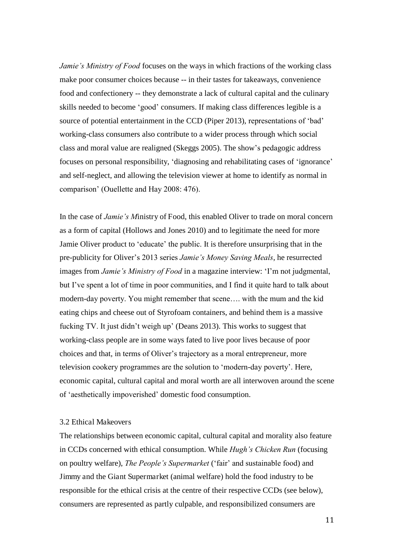*Jamie's Ministry of Food* focuses on the ways in which fractions of the working class make poor consumer choices because -- in their tastes for takeaways, convenience food and confectionery -- they demonstrate a lack of cultural capital and the culinary skills needed to become 'good' consumers. If making class differences legible is a source of potential entertainment in the CCD (Piper 2013), representations of 'bad' working-class consumers also contribute to a wider process through which social class and moral value are realigned (Skeggs 2005). The show's pedagogic address focuses on personal responsibility, 'diagnosing and rehabilitating cases of 'ignorance' and self-neglect, and allowing the television viewer at home to identify as normal in comparison' (Ouellette and Hay 2008: 476).

In the case of *Jamie's M*inistry of Food, this enabled Oliver to trade on moral concern as a form of capital (Hollows and Jones 2010) and to legitimate the need for more Jamie Oliver product to 'educate' the public. It is therefore unsurprising that in the pre-publicity for Oliver's 2013 series *Jamie's Money Saving Meals*, he resurrected images from *Jamie's Ministry of Food* in a magazine interview: 'I'm not judgmental, but I've spent a lot of time in poor communities, and I find it quite hard to talk about modern-day poverty. You might remember that scene…. with the mum and the kid eating chips and cheese out of Styrofoam containers, and behind them is a massive fucking TV. It just didn't weigh up' (Deans 2013). This works to suggest that working-class people are in some ways fated to live poor lives because of poor choices and that, in terms of Oliver's trajectory as a moral entrepreneur, more television cookery programmes are the solution to 'modern-day poverty'. Here, economic capital, cultural capital and moral worth are all interwoven around the scene of 'aesthetically impoverished' domestic food consumption.

### 3.2 Ethical Makeovers

The relationships between economic capital, cultural capital and morality also feature in CCDs concerned with ethical consumption. While *Hugh's Chicken Run* (focusing on poultry welfare), *The People's Supermarket* ('fair' and sustainable food) and Jimmy and the Giant Supermarket (animal welfare) hold the food industry to be responsible for the ethical crisis at the centre of their respective CCDs (see below), consumers are represented as partly culpable, and responsibilized consumers are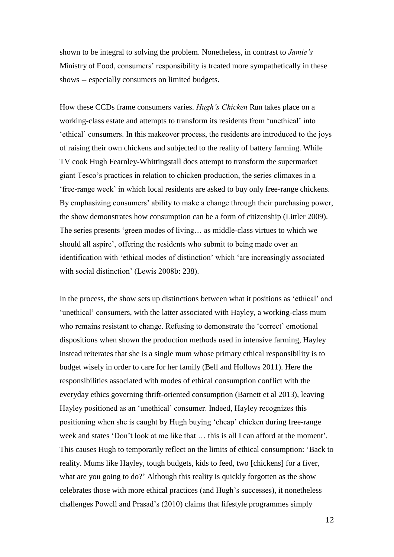shown to be integral to solving the problem. Nonetheless, in contrast to *Jamie's*  Ministry of Food, consumers' responsibility is treated more sympathetically in these shows -- especially consumers on limited budgets.

How these CCDs frame consumers varies. *Hugh's Chicken* Run takes place on a working-class estate and attempts to transform its residents from 'unethical' into 'ethical' consumers. In this makeover process, the residents are introduced to the joys of raising their own chickens and subjected to the reality of battery farming. While TV cook Hugh Fearnley-Whittingstall does attempt to transform the supermarket giant Tesco's practices in relation to chicken production, the series climaxes in a 'free-range week' in which local residents are asked to buy only free-range chickens. By emphasizing consumers' ability to make a change through their purchasing power, the show demonstrates how consumption can be a form of citizenship (Littler 2009). The series presents 'green modes of living… as middle-class virtues to which we should all aspire', offering the residents who submit to being made over an identification with 'ethical modes of distinction' which 'are increasingly associated with social distinction' (Lewis 2008b: 238).

In the process, the show sets up distinctions between what it positions as 'ethical' and 'unethical' consumers, with the latter associated with Hayley, a working-class mum who remains resistant to change. Refusing to demonstrate the 'correct' emotional dispositions when shown the production methods used in intensive farming, Hayley instead reiterates that she is a single mum whose primary ethical responsibility is to budget wisely in order to care for her family (Bell and Hollows 2011). Here the responsibilities associated with modes of ethical consumption conflict with the everyday ethics governing thrift-oriented consumption (Barnett et al 2013), leaving Hayley positioned as an 'unethical' consumer. Indeed, Hayley recognizes this positioning when she is caught by Hugh buying 'cheap' chicken during free-range week and states 'Don't look at me like that … this is all I can afford at the moment'. This causes Hugh to temporarily reflect on the limits of ethical consumption: 'Back to reality. Mums like Hayley, tough budgets, kids to feed, two [chickens] for a fiver, what are you going to do?' Although this reality is quickly forgotten as the show celebrates those with more ethical practices (and Hugh's successes), it nonetheless challenges Powell and Prasad's (2010) claims that lifestyle programmes simply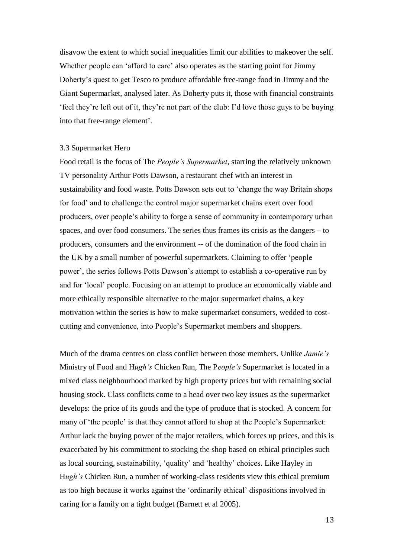disavow the extent to which social inequalities limit our abilities to makeover the self. Whether people can 'afford to care' also operates as the starting point for Jimmy Doherty's quest to get Tesco to produce affordable free-range food in Jimmy and the Giant Supermarket, analysed later. As Doherty puts it, those with financial constraints 'feel they're left out of it, they're not part of the club: I'd love those guys to be buying into that free-range element'.

#### 3.3 Supermarket Hero

Food retail is the focus of The *People's Supermarket*, starring the relatively unknown TV personality Arthur Potts Dawson, a restaurant chef with an interest in sustainability and food waste. Potts Dawson sets out to 'change the way Britain shops for food' and to challenge the control major supermarket chains exert over food producers, over people's ability to forge a sense of community in contemporary urban spaces, and over food consumers. The series thus frames its crisis as the dangers – to producers, consumers and the environment -- of the domination of the food chain in the UK by a small number of powerful supermarkets. Claiming to offer 'people power', the series follows Potts Dawson's attempt to establish a co-operative run by and for 'local' people. Focusing on an attempt to produce an economically viable and more ethically responsible alternative to the major supermarket chains, a key motivation within the series is how to make supermarket consumers, wedded to costcutting and convenience, into People's Supermarket members and shoppers.

Much of the drama centres on class conflict between those members. Unlike *Jamie's*  Ministry of Food and H*ugh's* Chicken Run, The P*eople's* Supermarket is located in a mixed class neighbourhood marked by high property prices but with remaining social housing stock. Class conflicts come to a head over two key issues as the supermarket develops: the price of its goods and the type of produce that is stocked. A concern for many of 'the people' is that they cannot afford to shop at the People's Supermarket: Arthur lack the buying power of the major retailers, which forces up prices, and this is exacerbated by his commitment to stocking the shop based on ethical principles such as local sourcing, sustainability, 'quality' and 'healthy' choices. Like Hayley in H*ugh's* Chicken Run, a number of working-class residents view this ethical premium as too high because it works against the 'ordinarily ethical' dispositions involved in caring for a family on a tight budget (Barnett et al 2005).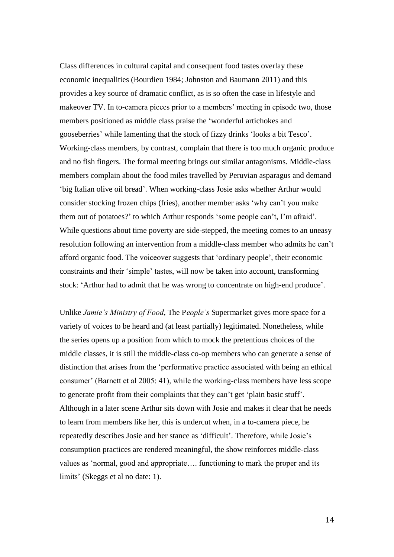Class differences in cultural capital and consequent food tastes overlay these economic inequalities (Bourdieu 1984; Johnston and Baumann 2011) and this provides a key source of dramatic conflict, as is so often the case in lifestyle and makeover TV. In to-camera pieces prior to a members' meeting in episode two, those members positioned as middle class praise the 'wonderful artichokes and gooseberries' while lamenting that the stock of fizzy drinks 'looks a bit Tesco'. Working-class members, by contrast, complain that there is too much organic produce and no fish fingers. The formal meeting brings out similar antagonisms. Middle-class members complain about the food miles travelled by Peruvian asparagus and demand 'big Italian olive oil bread'. When working-class Josie asks whether Arthur would consider stocking frozen chips (fries), another member asks 'why can't you make them out of potatoes?' to which Arthur responds 'some people can't, I'm afraid'. While questions about time poverty are side-stepped, the meeting comes to an uneasy resolution following an intervention from a middle-class member who admits he can't afford organic food. The voiceover suggests that 'ordinary people', their economic constraints and their 'simple' tastes, will now be taken into account, transforming stock: 'Arthur had to admit that he was wrong to concentrate on high-end produce'.

Unlike *Jamie's Ministry of Food*, The P*eople's* Supermarket gives more space for a variety of voices to be heard and (at least partially) legitimated. Nonetheless, while the series opens up a position from which to mock the pretentious choices of the middle classes, it is still the middle-class co-op members who can generate a sense of distinction that arises from the 'performative practice associated with being an ethical consumer' (Barnett et al 2005: 41), while the working-class members have less scope to generate profit from their complaints that they can't get 'plain basic stuff'. Although in a later scene Arthur sits down with Josie and makes it clear that he needs to learn from members like her, this is undercut when, in a to-camera piece, he repeatedly describes Josie and her stance as 'difficult'. Therefore, while Josie's consumption practices are rendered meaningful, the show reinforces middle-class values as 'normal, good and appropriate…. functioning to mark the proper and its limits' (Skeggs et al no date: 1).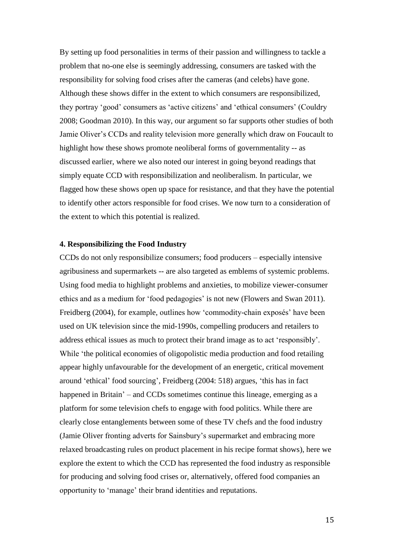By setting up food personalities in terms of their passion and willingness to tackle a problem that no-one else is seemingly addressing, consumers are tasked with the responsibility for solving food crises after the cameras (and celebs) have gone. Although these shows differ in the extent to which consumers are responsibilized, they portray 'good' consumers as 'active citizens' and 'ethical consumers' (Couldry 2008; Goodman 2010). In this way, our argument so far supports other studies of both Jamie Oliver's CCDs and reality television more generally which draw on Foucault to highlight how these shows promote neoliberal forms of governmentality -- as discussed earlier, where we also noted our interest in going beyond readings that simply equate CCD with responsibilization and neoliberalism. In particular, we flagged how these shows open up space for resistance, and that they have the potential to identify other actors responsible for food crises. We now turn to a consideration of the extent to which this potential is realized.

### **4. Responsibilizing the Food Industry**

CCDs do not only responsibilize consumers; food producers – especially intensive agribusiness and supermarkets -- are also targeted as emblems of systemic problems. Using food media to highlight problems and anxieties, to mobilize viewer-consumer ethics and as a medium for 'food pedagogies' is not new (Flowers and Swan 2011). Freidberg (2004), for example, outlines how 'commodity-chain exposés' have been used on UK television since the mid-1990s, compelling producers and retailers to address ethical issues as much to protect their brand image as to act 'responsibly'. While 'the political economies of oligopolistic media production and food retailing appear highly unfavourable for the development of an energetic, critical movement around 'ethical' food sourcing', Freidberg (2004: 518) argues, 'this has in fact happened in Britain' – and CCDs sometimes continue this lineage, emerging as a platform for some television chefs to engage with food politics. While there are clearly close entanglements between some of these TV chefs and the food industry (Jamie Oliver fronting adverts for Sainsbury's supermarket and embracing more relaxed broadcasting rules on product placement in his recipe format shows), here we explore the extent to which the CCD has represented the food industry as responsible for producing and solving food crises or, alternatively, offered food companies an opportunity to 'manage' their brand identities and reputations.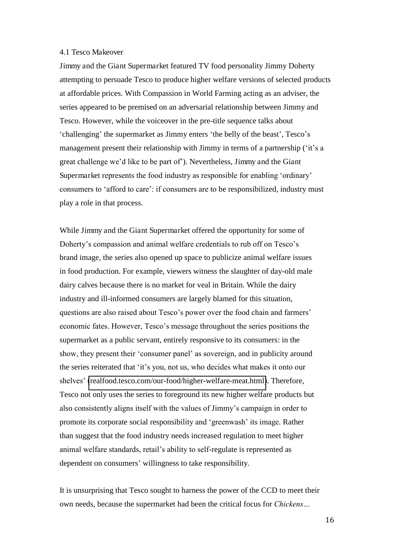### 4.1 Tesco Makeover

Jimmy and the Giant Supermarket featured TV food personality Jimmy Doherty attempting to persuade Tesco to produce higher welfare versions of selected products at affordable prices. With Compassion in World Farming acting as an adviser, the series appeared to be premised on an adversarial relationship between Jimmy and Tesco. However, while the voiceover in the pre-title sequence talks about 'challenging' the supermarket as Jimmy enters 'the belly of the beast', Tesco's management present their relationship with Jimmy in terms of a partnership ('it's a great challenge we'd like to be part of'). Nevertheless, Jimmy and the Giant Supermarket represents the food industry as responsible for enabling 'ordinary' consumers to 'afford to care': if consumers are to be responsibilized, industry must play a role in that process.

While Jimmy and the Giant Supermarket offered the opportunity for some of Doherty's compassion and animal welfare credentials to rub off on Tesco's brand image, the series also opened up space to publicize animal welfare issues in food production. For example, viewers witness the slaughter of day-old male dairy calves because there is no market for veal in Britain. While the dairy industry and ill-informed consumers are largely blamed for this situation, questions are also raised about Tesco's power over the food chain and farmers' economic fates. However, Tesco's message throughout the series positions the supermarket as a public servant, entirely responsive to its consumers: in the show, they present their 'consumer panel' as sovereign, and in publicity around the series reiterated that 'it's you, not us, who decides what makes it onto our shelves' [\(realfood.tesco.com/our-food/higher-welfare-meat.html\)](http://realfood.tesco.com/our-food/higher-welfare-meat.html). Therefore, Tesco not only uses the series to foreground its new higher welfare products but also consistently aligns itself with the values of Jimmy's campaign in order to promote its corporate social responsibility and 'greenwash' its image. Rather than suggest that the food industry needs increased regulation to meet higher animal welfare standards, retail's ability to self-regulate is represented as dependent on consumers' willingness to take responsibility.

It is unsurprising that Tesco sought to harness the power of the CCD to meet their own needs, because the supermarket had been the critical focus for *Chickens…*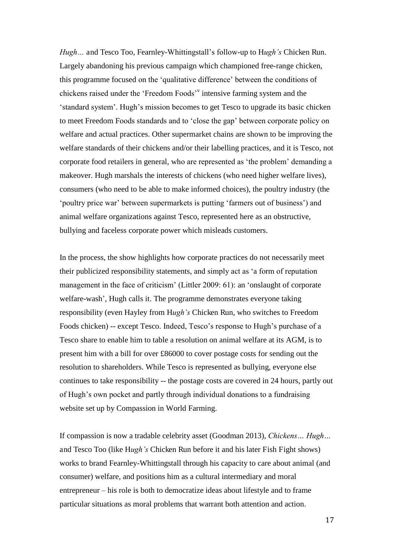*Hugh…* and Tesco Too, Fearnley-Whittingstall's follow-up to H*ugh's* Chicken Run. Largely abandoning his previous campaign which championed free-range chicken, this programme focused on the 'qualitative difference' between the conditions of chickens raised under the 'Freedom Foods'<sup>v</sup> intensive farming system and the 'standard system'. Hugh's mission becomes to get Tesco to upgrade its basic chicken to meet Freedom Foods standards and to 'close the gap' between corporate policy on welfare and actual practices. Other supermarket chains are shown to be improving the welfare standards of their chickens and/or their labelling practices, and it is Tesco, not corporate food retailers in general, who are represented as 'the problem' demanding a makeover. Hugh marshals the interests of chickens (who need higher welfare lives), consumers (who need to be able to make informed choices), the poultry industry (the 'poultry price war' between supermarkets is putting 'farmers out of business') and animal welfare organizations against Tesco, represented here as an obstructive, bullying and faceless corporate power which misleads customers.

In the process, the show highlights how corporate practices do not necessarily meet their publicized responsibility statements, and simply act as 'a form of reputation management in the face of criticism' (Littler 2009: 61): an 'onslaught of corporate welfare-wash', Hugh calls it. The programme demonstrates everyone taking responsibility (even Hayley from H*ugh's* Chicken Run, who switches to Freedom Foods chicken) -- except Tesco. Indeed, Tesco's response to Hugh's purchase of a Tesco share to enable him to table a resolution on animal welfare at its AGM, is to present him with a bill for over £86000 to cover postage costs for sending out the resolution to shareholders. While Tesco is represented as bullying, everyone else continues to take responsibility -- the postage costs are covered in 24 hours, partly out of Hugh's own pocket and partly through individual donations to a fundraising website set up by Compassion in World Farming.

If compassion is now a tradable celebrity asset (Goodman 2013), *Chickens… Hugh…*  and Tesco Too (like H*ugh's* Chicken Run before it and his later Fish Fight shows) works to brand Fearnley-Whittingstall through his capacity to care about animal (and consumer) welfare, and positions him as a cultural intermediary and moral entrepreneur – his role is both to democratize ideas about lifestyle and to frame particular situations as moral problems that warrant both attention and action.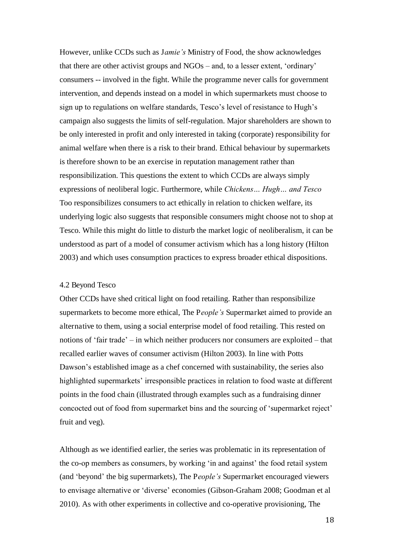However, unlike CCDs such as J*amie's* Ministry of Food, the show acknowledges that there are other activist groups and NGOs – and, to a lesser extent, 'ordinary' consumers -- involved in the fight. While the programme never calls for government intervention, and depends instead on a model in which supermarkets must choose to sign up to regulations on welfare standards, Tesco's level of resistance to Hugh's campaign also suggests the limits of self-regulation. Major shareholders are shown to be only interested in profit and only interested in taking (corporate) responsibility for animal welfare when there is a risk to their brand. Ethical behaviour by supermarkets is therefore shown to be an exercise in reputation management rather than responsibilization. This questions the extent to which CCDs are always simply expressions of neoliberal logic. Furthermore, while *Chickens… Hugh… and Tesco*  Too responsibilizes consumers to act ethically in relation to chicken welfare, its underlying logic also suggests that responsible consumers might choose not to shop at Tesco. While this might do little to disturb the market logic of neoliberalism, it can be understood as part of a model of consumer activism which has a long history (Hilton 2003) and which uses consumption practices to express broader ethical dispositions.

### 4.2 Beyond Tesco

Other CCDs have shed critical light on food retailing. Rather than responsibilize supermarkets to become more ethical, The P*eople's* Supermarket aimed to provide an alternative to them, using a social enterprise model of food retailing. This rested on notions of 'fair trade' – in which neither producers nor consumers are exploited – that recalled earlier waves of consumer activism (Hilton 2003). In line with Potts Dawson's established image as a chef concerned with sustainability, the series also highlighted supermarkets' irresponsible practices in relation to food waste at different points in the food chain (illustrated through examples such as a fundraising dinner concocted out of food from supermarket bins and the sourcing of 'supermarket reject' fruit and veg).

Although as we identified earlier, the series was problematic in its representation of the co-op members as consumers, by working 'in and against' the food retail system (and 'beyond' the big supermarkets), The P*eople's* Supermarket encouraged viewers to envisage alternative or 'diverse' economies (Gibson-Graham 2008; Goodman et al 2010). As with other experiments in collective and co-operative provisioning, The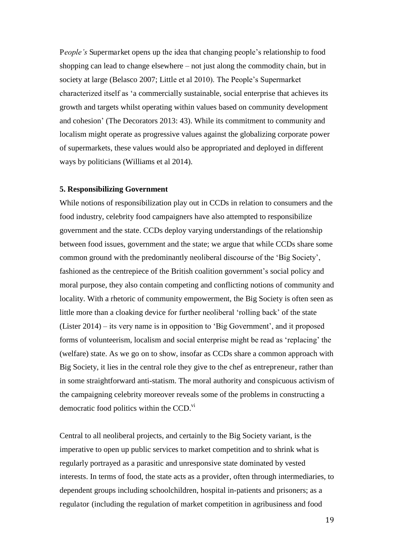P*eople's* Supermarket opens up the idea that changing people's relationship to food shopping can lead to change elsewhere – not just along the commodity chain, but in society at large (Belasco 2007; Little et al 2010). The People's Supermarket characterized itself as 'a commercially sustainable, social enterprise that achieves its growth and targets whilst operating within values based on community development and cohesion' (The Decorators 2013: 43). While its commitment to community and localism might operate as progressive values against the globalizing corporate power of supermarkets, these values would also be appropriated and deployed in different ways by politicians (Williams et al 2014).

### **5. Responsibilizing Government**

While notions of responsibilization play out in CCDs in relation to consumers and the food industry, celebrity food campaigners have also attempted to responsibilize government and the state. CCDs deploy varying understandings of the relationship between food issues, government and the state; we argue that while CCDs share some common ground with the predominantly neoliberal discourse of the 'Big Society', fashioned as the centrepiece of the British coalition government's social policy and moral purpose, they also contain competing and conflicting notions of community and locality. With a rhetoric of community empowerment, the Big Society is often seen as little more than a cloaking device for further neoliberal 'rolling back' of the state (Lister 2014) – its very name is in opposition to 'Big Government', and it proposed forms of volunteerism, localism and social enterprise might be read as 'replacing' the (welfare) state. As we go on to show, insofar as CCDs share a common approach with Big Society, it lies in the central role they give to the chef as entrepreneur, rather than in some straightforward anti-statism. The moral authority and conspicuous activism of the campaigning celebrity moreover reveals some of the problems in constructing a democratic food politics within the  $CCD$ . $\rm^{vi}$ 

Central to all neoliberal projects, and certainly to the Big Society variant, is the imperative to open up public services to market competition and to shrink what is regularly portrayed as a parasitic and unresponsive state dominated by vested interests. In terms of food, the state acts as a provider, often through intermediaries, to dependent groups including schoolchildren, hospital in-patients and prisoners; as a regulator (including the regulation of market competition in agribusiness and food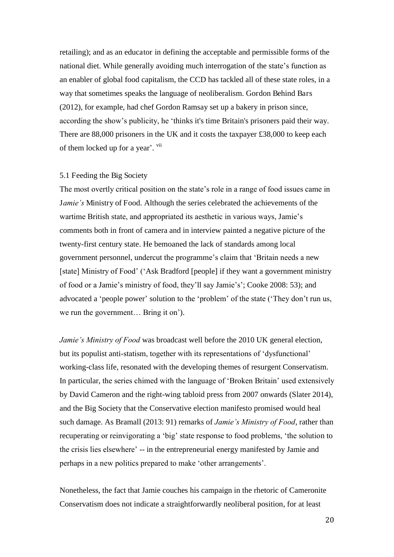retailing); and as an educator in defining the acceptable and permissible forms of the national diet. While generally avoiding much interrogation of the state's function as an enabler of global food capitalism, the CCD has tackled all of these state roles, in a way that sometimes speaks the language of neoliberalism. Gordon Behind Bars (2012), for example, had chef Gordon Ramsay set up a bakery in prison since, according the show's publicity, he 'thinks it's time Britain's prisoners paid their way. There are 88,000 prisoners in the UK and it costs the taxpayer £38,000 to keep each of them locked up for a year'. <sup>vii</sup>

### 5.1 Feeding the Big Society

The most overtly critical position on the state's role in a range of food issues came in J*amie's* Ministry of Food. Although the series celebrated the achievements of the wartime British state, and appropriated its aesthetic in various ways, Jamie's comments both in front of camera and in interview painted a negative picture of the twenty-first century state. He bemoaned the lack of standards among local government personnel, undercut the programme's claim that 'Britain needs a new [state] Ministry of Food' ('Ask Bradford [people] if they want a government ministry of food or a Jamie's ministry of food, they'll say Jamie's'; Cooke 2008: 53); and advocated a 'people power' solution to the 'problem' of the state ('They don't run us, we run the government… Bring it on').

*Jamie's Ministry of Food* was broadcast well before the 2010 UK general election, but its populist anti-statism, together with its representations of 'dysfunctional' working-class life, resonated with the developing themes of resurgent Conservatism. In particular, the series chimed with the language of 'Broken Britain' used extensively by David Cameron and the right-wing tabloid press from 2007 onwards (Slater 2014), and the Big Society that the Conservative election manifesto promised would heal such damage. As Bramall (2013: 91) remarks of *Jamie's Ministry of Food*, rather than recuperating or reinvigorating a 'big' state response to food problems, 'the solution to the crisis lies elsewhere' -- in the entrepreneurial energy manifested by Jamie and perhaps in a new politics prepared to make 'other arrangements'.

Nonetheless, the fact that Jamie couches his campaign in the rhetoric of Cameronite Conservatism does not indicate a straightforwardly neoliberal position, for at least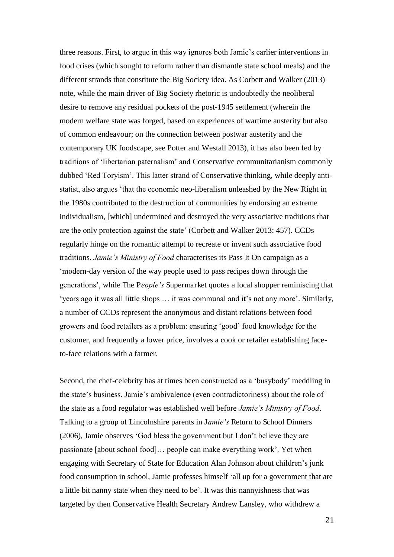three reasons. First, to argue in this way ignores both Jamie's earlier interventions in food crises (which sought to reform rather than dismantle state school meals) and the different strands that constitute the Big Society idea. As Corbett and Walker (2013) note, while the main driver of Big Society rhetoric is undoubtedly the neoliberal desire to remove any residual pockets of the post-1945 settlement (wherein the modern welfare state was forged, based on experiences of wartime austerity but also of common endeavour; on the connection between postwar austerity and the contemporary UK foodscape, see Potter and Westall 2013), it has also been fed by traditions of 'libertarian paternalism' and Conservative communitarianism commonly dubbed 'Red Toryism'. This latter strand of Conservative thinking, while deeply antistatist, also argues 'that the economic neo-liberalism unleashed by the New Right in the 1980s contributed to the destruction of communities by endorsing an extreme individualism, [which] undermined and destroyed the very associative traditions that are the only protection against the state' (Corbett and Walker 2013: 457). CCDs regularly hinge on the romantic attempt to recreate or invent such associative food traditions. *Jamie's Ministry of Food* characterises its Pass It On campaign as a 'modern-day version of the way people used to pass recipes down through the generations', while The P*eople's* Supermarket quotes a local shopper reminiscing that 'years ago it was all little shops … it was communal and it's not any more'. Similarly, a number of CCDs represent the anonymous and distant relations between food growers and food retailers as a problem: ensuring 'good' food knowledge for the customer, and frequently a lower price, involves a cook or retailer establishing faceto-face relations with a farmer.

Second, the chef-celebrity has at times been constructed as a 'busybody' meddling in the state's business. Jamie's ambivalence (even contradictoriness) about the role of the state as a food regulator was established well before *Jamie's Ministry of Food*. Talking to a group of Lincolnshire parents in J*amie's* Return to School Dinners (2006), Jamie observes 'God bless the government but I don't believe they are passionate [about school food]… people can make everything work'. Yet when engaging with Secretary of State for Education Alan Johnson about children's junk food consumption in school, Jamie professes himself 'all up for a government that are a little bit nanny state when they need to be'. It was this nannyishness that was targeted by then Conservative Health Secretary Andrew Lansley, who withdrew a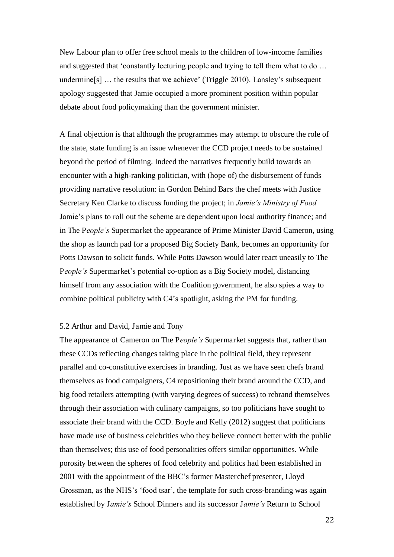New Labour plan to offer free school meals to the children of low-income families and suggested that 'constantly lecturing people and trying to tell them what to do … undermine[s]  $\ldots$  the results that we achieve' (Triggle 2010). Lansley's subsequent apology suggested that Jamie occupied a more prominent position within popular debate about food policymaking than the government minister.

A final objection is that although the programmes may attempt to obscure the role of the state, state funding is an issue whenever the CCD project needs to be sustained beyond the period of filming. Indeed the narratives frequently build towards an encounter with a high-ranking politician, with (hope of) the disbursement of funds providing narrative resolution: in Gordon Behind Bars the chef meets with Justice Secretary Ken Clarke to discuss funding the project; in *Jamie's Ministry of Food* Jamie's plans to roll out the scheme are dependent upon local authority finance; and in The P*eople's* Supermarket the appearance of Prime Minister David Cameron, using the shop as launch pad for a proposed Big Society Bank, becomes an opportunity for Potts Dawson to solicit funds. While Potts Dawson would later react uneasily to The P*eople's* Supermarket's potential co-option as a Big Society model, distancing himself from any association with the Coalition government, he also spies a way to combine political publicity with C4's spotlight, asking the PM for funding.

## 5.2 Arthur and David, Jamie and Tony

The appearance of Cameron on The P*eople's* Supermarket suggests that, rather than these CCDs reflecting changes taking place in the political field, they represent parallel and co-constitutive exercises in branding. Just as we have seen chefs brand themselves as food campaigners, C4 repositioning their brand around the CCD, and big food retailers attempting (with varying degrees of success) to rebrand themselves through their association with culinary campaigns, so too politicians have sought to associate their brand with the CCD. Boyle and Kelly (2012) suggest that politicians have made use of business celebrities who they believe connect better with the public than themselves; this use of food personalities offers similar opportunities. While porosity between the spheres of food celebrity and politics had been established in 2001 with the appointment of the BBC's former Masterchef presenter, Lloyd Grossman, as the NHS's 'food tsar', the template for such cross-branding was again established by J*amie's* School Dinners and its successor J*amie's* Return to School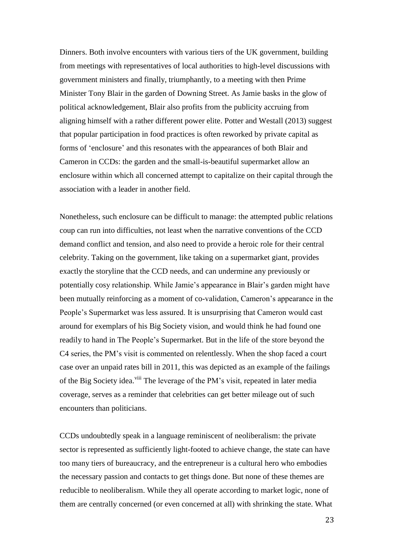Dinners. Both involve encounters with various tiers of the UK government, building from meetings with representatives of local authorities to high-level discussions with government ministers and finally, triumphantly, to a meeting with then Prime Minister Tony Blair in the garden of Downing Street. As Jamie basks in the glow of political acknowledgement, Blair also profits from the publicity accruing from aligning himself with a rather different power elite. Potter and Westall (2013) suggest that popular participation in food practices is often reworked by private capital as forms of 'enclosure' and this resonates with the appearances of both Blair and Cameron in CCDs: the garden and the small-is-beautiful supermarket allow an enclosure within which all concerned attempt to capitalize on their capital through the association with a leader in another field.

Nonetheless, such enclosure can be difficult to manage: the attempted public relations coup can run into difficulties, not least when the narrative conventions of the CCD demand conflict and tension, and also need to provide a heroic role for their central celebrity. Taking on the government, like taking on a supermarket giant, provides exactly the storyline that the CCD needs, and can undermine any previously or potentially cosy relationship. While Jamie's appearance in Blair's garden might have been mutually reinforcing as a moment of co-validation, Cameron's appearance in the People's Supermarket was less assured. It is unsurprising that Cameron would cast around for exemplars of his Big Society vision, and would think he had found one readily to hand in The People's Supermarket. But in the life of the store beyond the C4 series, the PM's visit is commented on relentlessly. When the shop faced a court case over an unpaid rates bill in 2011, this was depicted as an example of the failings of the Big Society idea.<sup>viii</sup> The leverage of the PM's visit, repeated in later media coverage, serves as a reminder that celebrities can get better mileage out of such encounters than politicians.

CCDs undoubtedly speak in a language reminiscent of neoliberalism: the private sector is represented as sufficiently light-footed to achieve change, the state can have too many tiers of bureaucracy, and the entrepreneur is a cultural hero who embodies the necessary passion and contacts to get things done. But none of these themes are reducible to neoliberalism. While they all operate according to market logic, none of them are centrally concerned (or even concerned at all) with shrinking the state. What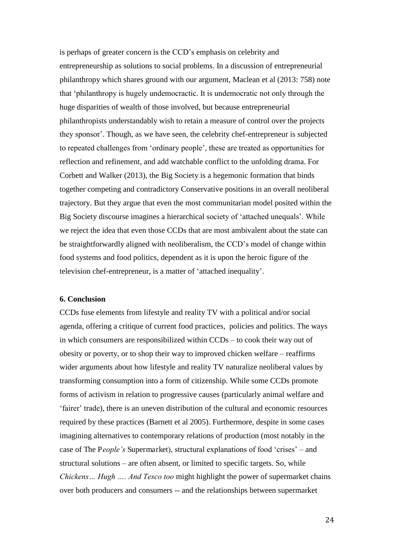is perhaps of greater concern is the CCD's emphasis on celebrity and entrepreneurship as solutions to social problems. In a discussion of entrepreneurial philanthropy which shares ground with our argument, Maclean et al (2013: 758) note that 'philanthropy is hugely undemocractic. It is undemocratic not only through the huge disparities of wealth of those involved, but because entrepreneurial philanthropists understandably wish to retain a measure of control over the projects they sponsor'. Though, as we have seen, the celebrity chef-entrepreneur is subjected to repeated challenges from 'ordinary people', these are treated as opportunities for reflection and refinement, and add watchable conflict to the unfolding drama. For Corbett and Walker (2013), the Big Society is a hegemonic formation that binds together competing and contradictory Conservative positions in an overall neoliberal trajectory. But they argue that even the most communitarian model posited within the Big Society discourse imagines a hierarchical society of 'attached unequals'. While we reject the idea that even those CCDs that are most ambivalent about the state can be straightforwardly aligned with neoliberalism, the CCD's model of change within food systems and food politics, dependent as it is upon the heroic figure of the television chef-entrepreneur, is a matter of 'attached inequality'.

#### **6. Conclusion**

CCDs fuse elements from lifestyle and reality TV with a political and/or social agenda, offering a critique of current food practices, policies and politics. The ways in which consumers are responsibilized within CCDs – to cook their way out of obesity or poverty, or to shop their way to improved chicken welfare – reaffirms wider arguments about how lifestyle and reality TV naturalize neoliberal values by transforming consumption into a form of citizenship. While some CCDs promote forms of activism in relation to progressive causes (particularly animal welfare and 'fairer' trade), there is an uneven distribution of the cultural and economic resources required by these practices (Barnett et al 2005). Furthermore, despite in some cases imagining alternatives to contemporary relations of production (most notably in the case of The P*eople's* Supermarket), structural explanations of food 'crises' – and structural solutions – are often absent, or limited to specific targets. So, while *Chickens… Hugh …. And Tesco too* might highlight the power of supermarket chains over both producers and consumers -- and the relationships between supermarket

24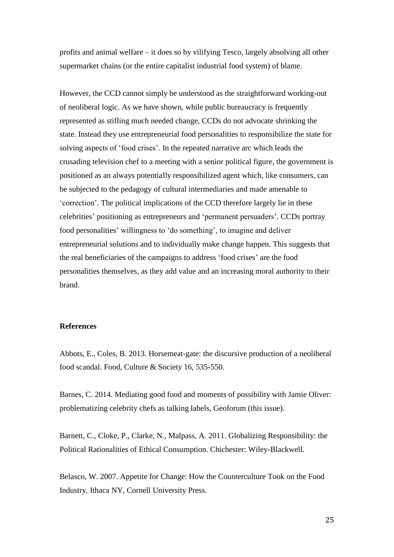profits and animal welfare – it does so by vilifying Tesco, largely absolving all other supermarket chains (or the entire capitalist industrial food system) of blame.

However, the CCD cannot simply be understood as the straightforward working-out of neoliberal logic. As we have shown, while public bureaucracy is frequently represented as stifling much needed change, CCDs do not advocate shrinking the state. Instead they use entrepreneurial food personalities to responsibilize the state for solving aspects of 'food crises'. In the repeated narrative arc which leads the crusading television chef to a meeting with a senior political figure, the government is positioned as an always potentially responsibilized agent which, like consumers, can be subjected to the pedagogy of cultural intermediaries and made amenable to 'correction'. The political implications of the CCD therefore largely lie in these celebrities' positioning as entrepreneurs and 'permanent persuaders'. CCDs portray food personalities' willingness to 'do something', to imagine and deliver entrepreneurial solutions and to individually make change happen. This suggests that the real beneficiaries of the campaigns to address 'food crises' are the food personalities themselves, as they add value and an increasing moral authority to their brand.

### **References**

Abbots, E., Coles, B. 2013. Horsemeat-gate: the discursive production of a neoliberal food scandal. Food, Culture & Society 16, 535-550.

Barnes, C. 2014. Mediating good food and moments of possibility with Jamie Oliver: problematizing celebrity chefs as talking labels, Geoforum (this issue).

Barnett, C., Cloke, P., Clarke, N., Malpass, A. 2011. Globalizing Responsibility: the Political Rationalities of Ethical Consumption. Chichester: Wiley-Blackwell.

Belasco, W. 2007. Appetite for Change: How the Counterculture Took on the Food Industry. Ithaca NY, Cornell University Press.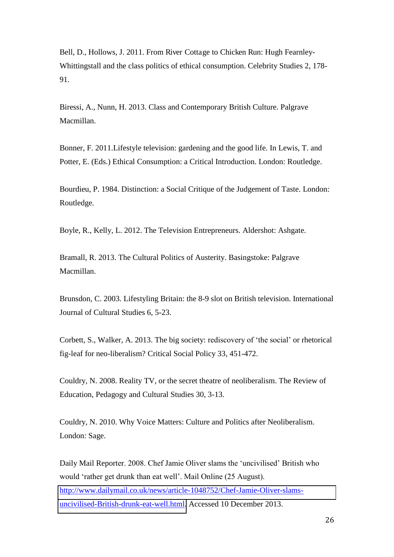Bell, D., Hollows, J. 2011. From River Cottage to Chicken Run: Hugh Fearnley-Whittingstall and the class politics of ethical consumption. Celebrity Studies 2, 178- 91.

Biressi, A., Nunn, H. 2013. Class and Contemporary British Culture. Palgrave Macmillan.

Bonner, F. 2011.Lifestyle television: gardening and the good life. In Lewis, T. and Potter, E. (Eds.) Ethical Consumption: a Critical Introduction. London: Routledge.

Bourdieu, P. 1984. Distinction: a Social Critique of the Judgement of Taste. London: Routledge.

Boyle, R., Kelly, L. 2012. The Television Entrepreneurs. Aldershot: Ashgate.

Bramall, R. 2013. The Cultural Politics of Austerity. Basingstoke: Palgrave Macmillan.

Brunsdon, C. 2003. Lifestyling Britain: the 8-9 slot on British television. International Journal of Cultural Studies 6, 5-23.

Corbett, S., Walker, A. 2013. The big society: rediscovery of 'the social' or rhetorical fig-leaf for neo-liberalism? Critical Social Policy 33, 451-472.

Couldry, N. 2008. Reality TV, or the secret theatre of neoliberalism. The Review of Education, Pedagogy and Cultural Studies 30, 3-13.

Couldry, N. 2010. Why Voice Matters: Culture and Politics after Neoliberalism. London: Sage.

Daily Mail Reporter. 2008. Chef Jamie Oliver slams the 'uncivilised' British who would 'rather get drunk than eat well'. Mail Online (25 August). [http://www.dailymail.co.uk/news/article-1048752/Chef-Jamie-Oliver-slams](http://www.dailymail.co.uk/news/article-1048752/Chef-Jamie-Oliver-slams-uncivilised-British-drunk-eat-well.html)[uncivilised-British-drunk-eat-well.html.](http://www.dailymail.co.uk/news/article-1048752/Chef-Jamie-Oliver-slams-uncivilised-British-drunk-eat-well.html) Accessed 10 December 2013.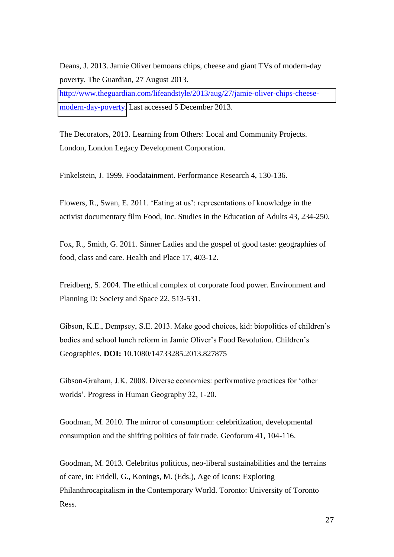Deans, J. 2013. Jamie Oliver bemoans chips, cheese and giant TVs of modern-day poverty. The Guardian, 27 August 2013. [http://www.theguardian.com/lifeandstyle/2013/aug/27/jamie-oliver-chips-cheese](http://www.theguardian.com/lifeandstyle/2013/aug/27/jamie-oliver-chips-cheese-modern-day-poverty)[modern-day-poverty.](http://www.theguardian.com/lifeandstyle/2013/aug/27/jamie-oliver-chips-cheese-modern-day-poverty) Last accessed 5 December 2013.

The Decorators, 2013. Learning from Others: Local and Community Projects. London, London Legacy Development Corporation.

Finkelstein, J. 1999. Foodatainment. Performance Research 4, 130-136.

Flowers, R., Swan, E. 2011. 'Eating at us': representations of knowledge in the activist documentary film Food, Inc. Studies in the Education of Adults 43, 234-250.

Fox, R., Smith, G. 2011. Sinner Ladies and the gospel of good taste: geographies of food, class and care. Health and Place 17, 403-12.

Freidberg, S. 2004. The ethical complex of corporate food power. Environment and Planning D: Society and Space 22, 513-531.

Gibson, K.E., Dempsey, S.E. 2013. Make good choices, kid: biopolitics of children's bodies and school lunch reform in Jamie Oliver's Food Revolution. Children's Geographies. **DOI:** 10.1080/14733285.2013.827875

Gibson-Graham, J.K. 2008. Diverse economies: performative practices for 'other worlds'. Progress in Human Geography 32, 1-20.

Goodman, M. 2010. The mirror of consumption: celebritization, developmental consumption and the shifting politics of fair trade. Geoforum 41, 104-116.

Goodman, M. 2013. Celebritus politicus, neo-liberal sustainabilities and the terrains of care, in: Fridell, G., Konings, M. (Eds.), Age of Icons: Exploring Philanthrocapitalism in the Contemporary World. Toronto: University of Toronto Ress.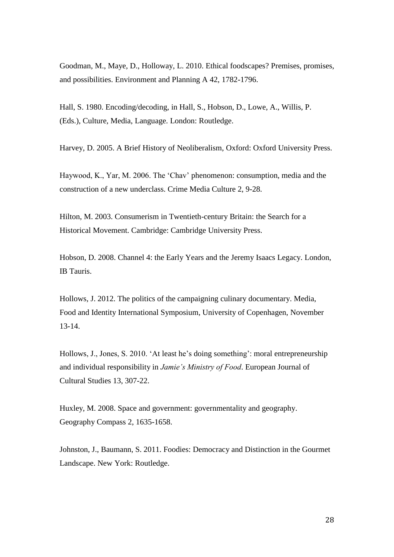Goodman, M., Maye, D., Holloway, L. 2010. Ethical foodscapes? Premises, promises, and possibilities. Environment and Planning A 42, 1782-1796.

Hall, S. 1980. Encoding/decoding, in Hall, S., Hobson, D., Lowe, A., Willis, P. (Eds.), Culture, Media, Language. London: Routledge.

Harvey, D. 2005. A Brief History of Neoliberalism, Oxford: Oxford University Press.

Haywood, K., Yar, M. 2006. The 'Chav' phenomenon: consumption, media and the construction of a new underclass. Crime Media Culture 2, 9-28.

Hilton, M. 2003. Consumerism in Twentieth-century Britain: the Search for a Historical Movement. Cambridge: Cambridge University Press.

Hobson, D. 2008. Channel 4: the Early Years and the Jeremy Isaacs Legacy. London, IB Tauris.

Hollows, J. 2012. The politics of the campaigning culinary documentary. Media, Food and Identity International Symposium, University of Copenhagen, November 13-14.

Hollows, J., Jones, S. 2010. 'At least he's doing something': moral entrepreneurship and individual responsibility in *Jamie's Ministry of Food*. European Journal of Cultural Studies 13, 307-22.

Huxley, M. 2008. Space and government: governmentality and geography. Geography Compass 2, 1635-1658.

Johnston, J., Baumann, S. 2011. Foodies: Democracy and Distinction in the Gourmet Landscape. New York: Routledge.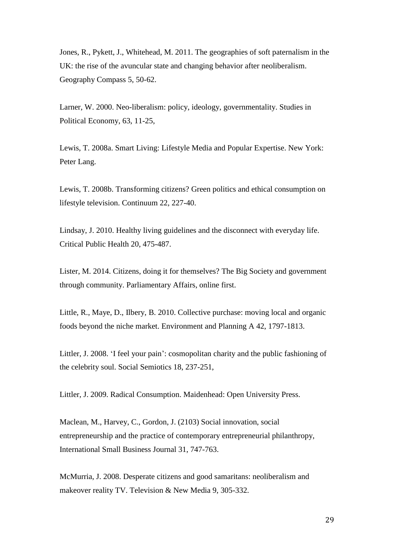Jones, R., Pykett, J., Whitehead, M. 2011. The geographies of soft paternalism in the UK: the rise of the avuncular state and changing behavior after neoliberalism. Geography Compass 5, 50-62.

Larner, W. 2000. Neo-liberalism: policy, ideology, governmentality. Studies in Political Economy, 63, 11-25,

Lewis, T. 2008a. Smart Living: Lifestyle Media and Popular Expertise. New York: Peter Lang.

Lewis, T. 2008b. Transforming citizens? Green politics and ethical consumption on lifestyle television. Continuum 22, 227-40.

Lindsay, J. 2010. Healthy living guidelines and the disconnect with everyday life. Critical Public Health 20, 475-487.

Lister, M. 2014. Citizens, doing it for themselves? The Big Society and government through community. Parliamentary Affairs, online first.

Little, R., Maye, D., Ilbery, B. 2010. Collective purchase: moving local and organic foods beyond the niche market. Environment and Planning A 42, 1797-1813.

Littler, J. 2008. 'I feel your pain': cosmopolitan charity and the public fashioning of the celebrity soul. Social Semiotics 18, 237-251,

Littler, J. 2009. Radical Consumption. Maidenhead: Open University Press.

Maclean, M., Harvey, C., Gordon, J. (2103) Social innovation, social entrepreneurship and the practice of contemporary entrepreneurial philanthropy, International Small Business Journal 31, 747-763.

McMurria, J. 2008. Desperate citizens and good samaritans: neoliberalism and makeover reality TV. Television & New Media 9, 305-332.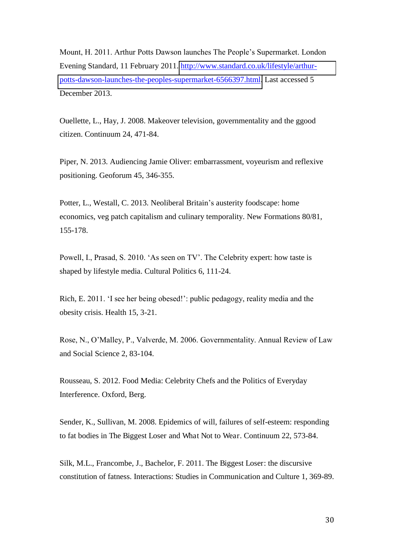Mount, H. 2011. Arthur Potts Dawson launches The People's Supermarket. London Evening Standard, 11 February 2011. [http://www.standard.co.uk/lifestyle/arthur](http://www.standard.co.uk/lifestyle/arthur-potts-dawson-launches-the-peoples-supermarket-6566397.html)[potts-dawson-launches-the-peoples-supermarket-6566397.html.](http://www.standard.co.uk/lifestyle/arthur-potts-dawson-launches-the-peoples-supermarket-6566397.html) Last accessed 5 December 2013.

Ouellette, L., Hay, J. 2008. Makeover television, governmentality and the ggood citizen. Continuum 24, 471-84.

Piper, N. 2013. Audiencing Jamie Oliver: embarrassment, voyeurism and reflexive positioning. Geoforum 45, 346-355.

Potter, L., Westall, C. 2013. Neoliberal Britain's austerity foodscape: home economics, veg patch capitalism and culinary temporality. New Formations 80/81, 155-178.

Powell, I., Prasad, S. 2010. 'As seen on TV'. The Celebrity expert: how taste is shaped by lifestyle media. Cultural Politics 6, 111-24.

Rich, E. 2011. 'I see her being obesed!': public pedagogy, reality media and the obesity crisis. Health 15, 3-21.

Rose, N., O'Malley, P., Valverde, M. 2006. Governmentality. Annual Review of Law and Social Science 2, 83-104.

Rousseau, S. 2012. Food Media: Celebrity Chefs and the Politics of Everyday Interference. Oxford, Berg.

Sender, K., Sullivan, M. 2008. Epidemics of will, failures of self-esteem: responding to fat bodies in The Biggest Loser and What Not to Wear. Continuum 22, 573-84.

Silk, M.L., Francombe, J., Bachelor, F. 2011. The Biggest Loser: the discursive constitution of fatness. Interactions: Studies in Communication and Culture 1, 369-89.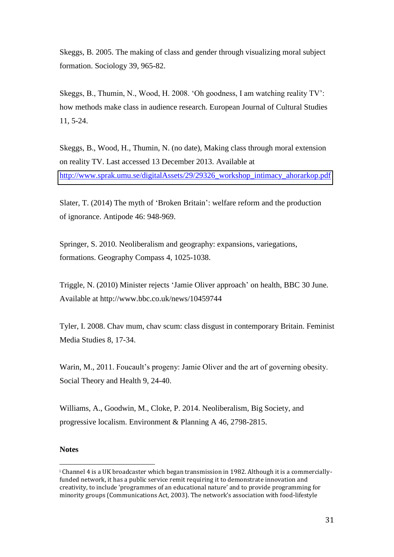Skeggs, B. 2005. The making of class and gender through visualizing moral subject formation. Sociology 39, 965-82.

Skeggs, B., Thumin, N., Wood, H. 2008. 'Oh goodness, I am watching reality TV': how methods make class in audience research. European Journal of Cultural Studies 11, 5-24.

Skeggs, B., Wood, H., Thumin, N. (no date), Making class through moral extension on reality TV. Last accessed 13 December 2013. Available at [http://www.sprak.umu.se/digitalAssets/29/29326\\_workshop\\_intimacy\\_ahorarkop.pdf](http://www.sprak.umu.se/digitalAssets/29/29326_workshop_intimacy_ahorarkop.pdf)

Slater, T. (2014) The myth of 'Broken Britain': welfare reform and the production of ignorance. Antipode 46: 948-969.

Springer, S. 2010. Neoliberalism and geography: expansions, variegations, formations. Geography Compass 4, 1025-1038.

Triggle, N. (2010) Minister rejects 'Jamie Oliver approach' on health, BBC 30 June. Available at http://www.bbc.co.uk/news/10459744

Tyler, I. 2008. Chav mum, chav scum: class disgust in contemporary Britain. Feminist Media Studies 8, 17-34.

Warin, M., 2011. Foucault's progeny: Jamie Oliver and the art of governing obesity. Social Theory and Health 9, 24-40.

Williams, A., Goodwin, M., Cloke, P. 2014. Neoliberalism, Big Society, and progressive localism. Environment & Planning A 46, 2798-2815.

### **Notes**

 $\overline{a}$ 

i Channel 4 is a UK broadcaster which began transmission in 1982. Although it is a commerciallyfunded network, it has a public service remit requiring it to demonstrate innovation and creativity, to include 'programmes of an educational nature' and to provide programming for minority groups (Communications Act, 2003). The network's association with food-lifestyle